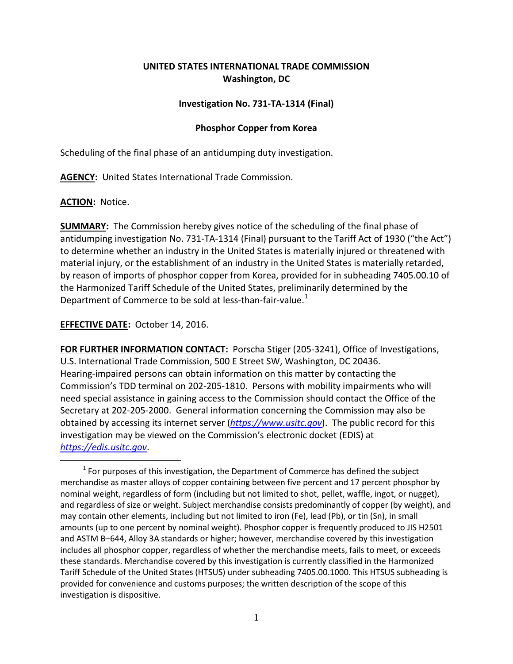# **UNITED STATES INTERNATIONAL TRADE COMMISSION Washington, DC**

## **Investigation No. 731-TA-1314 (Final)**

## **Phosphor Copper from Korea**

Scheduling of the final phase of an antidumping duty investigation.

**AGENCY:** United States International Trade Commission.

## **ACTION:** Notice.

**SUMMARY:** The Commission hereby gives notice of the scheduling of the final phase of antidumping investigation No. 731-TA-1314 (Final) pursuant to the Tariff Act of 1930 ("the Act") to determine whether an industry in the United States is materially injured or threatened with material injury, or the establishment of an industry in the United States is materially retarded, by reason of imports of phosphor copper from Korea, provided for in subheading 7405.00.10 of the Harmonized Tariff Schedule of the United States, preliminarily determined by the Department of Commerce to be sold at less-than-fair-value.<sup>[1](#page-0-0)</sup>

## **EFFECTIVE DATE:** October 14, 2016.

**FOR FURTHER INFORMATION CONTACT:** Porscha Stiger (205-3241), Office of Investigations, U.S. International Trade Commission, 500 E Street SW, Washington, DC 20436. Hearing-impaired persons can obtain information on this matter by contacting the Commission's TDD terminal on 202-205-1810. Persons with mobility impairments who will need special assistance in gaining access to the Commission should contact the Office of the Secretary at 202-205-2000. General information concerning the Commission may also be obtained by accessing its internet server (*[https://www.usitc.gov](https://www.usitc.gov/)*). The public record for this investigation may be viewed on the Commission's electronic docket (EDIS) at *[https://edis.usitc.gov](https://edis.usitc.gov/)*.

<span id="page-0-0"></span> $\overline{a}$  $1$  For purposes of this investigation, the Department of Commerce has defined the subject merchandise as master alloys of copper containing between five percent and 17 percent phosphor by nominal weight, regardless of form (including but not limited to shot, pellet, waffle, ingot, or nugget), and regardless of size or weight. Subject merchandise consists predominantly of copper (by weight), and may contain other elements, including but not limited to iron (Fe), lead (Pb), or tin (Sn), in small amounts (up to one percent by nominal weight). Phosphor copper is frequently produced to JIS H2501 and ASTM B–644, Alloy 3A standards or higher; however, merchandise covered by this investigation includes all phosphor copper, regardless of whether the merchandise meets, fails to meet, or exceeds these standards. Merchandise covered by this investigation is currently classified in the Harmonized Tariff Schedule of the United States (HTSUS) under subheading 7405.00.1000. This HTSUS subheading is provided for convenience and customs purposes; the written description of the scope of this investigation is dispositive.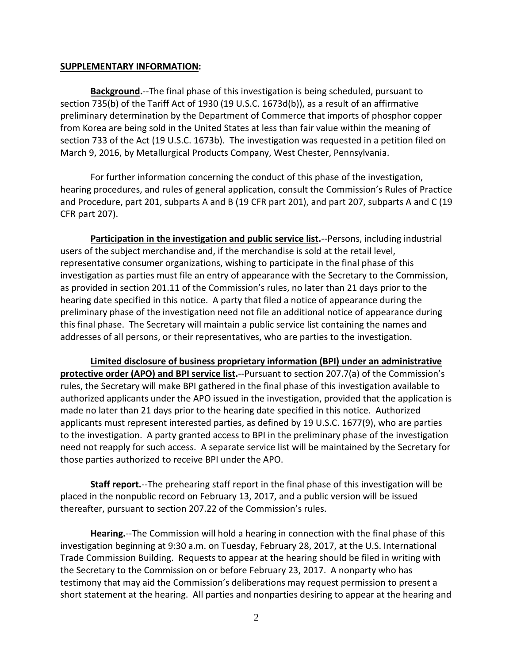### **SUPPLEMENTARY INFORMATION:**

**Background.**--The final phase of this investigation is being scheduled, pursuant to section 735(b) of the Tariff Act of 1930 (19 U.S.C. 1673d(b)), as a result of an affirmative preliminary determination by the Department of Commerce that imports of phosphor copper from Korea are being sold in the United States at less than fair value within the meaning of section 733 of the Act (19 U.S.C. 1673b). The investigation was requested in a petition filed on March 9, 2016, by Metallurgical Products Company, West Chester, Pennsylvania.

For further information concerning the conduct of this phase of the investigation, hearing procedures, and rules of general application, consult the Commission's Rules of Practice and Procedure, part 201, subparts A and B (19 CFR part 201), and part 207, subparts A and C (19 CFR part 207).

**Participation in the investigation and public service list.**--Persons, including industrial users of the subject merchandise and, if the merchandise is sold at the retail level, representative consumer organizations, wishing to participate in the final phase of this investigation as parties must file an entry of appearance with the Secretary to the Commission, as provided in section 201.11 of the Commission's rules, no later than 21 days prior to the hearing date specified in this notice. A party that filed a notice of appearance during the preliminary phase of the investigation need not file an additional notice of appearance during this final phase. The Secretary will maintain a public service list containing the names and addresses of all persons, or their representatives, who are parties to the investigation.

**Limited disclosure of business proprietary information (BPI) under an administrative protective order (APO) and BPI service list.**--Pursuant to section 207.7(a) of the Commission's rules, the Secretary will make BPI gathered in the final phase of this investigation available to authorized applicants under the APO issued in the investigation, provided that the application is made no later than 21 days prior to the hearing date specified in this notice. Authorized applicants must represent interested parties, as defined by 19 U.S.C. 1677(9), who are parties to the investigation. A party granted access to BPI in the preliminary phase of the investigation need not reapply for such access. A separate service list will be maintained by the Secretary for those parties authorized to receive BPI under the APO.

**Staff report.**--The prehearing staff report in the final phase of this investigation will be placed in the nonpublic record on February 13, 2017, and a public version will be issued thereafter, pursuant to section 207.22 of the Commission's rules.

**Hearing.**--The Commission will hold a hearing in connection with the final phase of this investigation beginning at 9:30 a.m. on Tuesday, February 28, 2017, at the U.S. International Trade Commission Building. Requests to appear at the hearing should be filed in writing with the Secretary to the Commission on or before February 23, 2017. A nonparty who has testimony that may aid the Commission's deliberations may request permission to present a short statement at the hearing. All parties and nonparties desiring to appear at the hearing and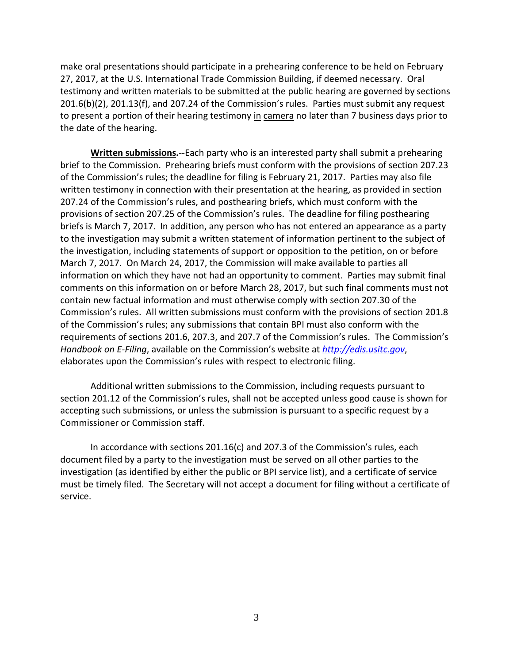make oral presentations should participate in a prehearing conference to be held on February 27, 2017, at the U.S. International Trade Commission Building, if deemed necessary. Oral testimony and written materials to be submitted at the public hearing are governed by sections 201.6(b)(2), 201.13(f), and 207.24 of the Commission's rules. Parties must submit any request to present a portion of their hearing testimony in camera no later than 7 business days prior to the date of the hearing.

**Written submissions.**--Each party who is an interested party shall submit a prehearing brief to the Commission. Prehearing briefs must conform with the provisions of section 207.23 of the Commission's rules; the deadline for filing is February 21, 2017. Parties may also file written testimony in connection with their presentation at the hearing, as provided in section 207.24 of the Commission's rules, and posthearing briefs, which must conform with the provisions of section 207.25 of the Commission's rules. The deadline for filing posthearing briefs is March 7, 2017. In addition, any person who has not entered an appearance as a party to the investigation may submit a written statement of information pertinent to the subject of the investigation, including statements of support or opposition to the petition, on or before March 7, 2017. On March 24, 2017, the Commission will make available to parties all information on which they have not had an opportunity to comment. Parties may submit final comments on this information on or before March 28, 2017, but such final comments must not contain new factual information and must otherwise comply with section 207.30 of the Commission's rules. All written submissions must conform with the provisions of section 201.8 of the Commission's rules; any submissions that contain BPI must also conform with the requirements of sections 201.6, 207.3, and 207.7 of the Commission's rules. The Commission's *Handbook on E-Filing*, available on the Commission's website at *[http://edis.usitc.gov](http://edis.usitc.gov/)*, elaborates upon the Commission's rules with respect to electronic filing.

Additional written submissions to the Commission, including requests pursuant to section 201.12 of the Commission's rules, shall not be accepted unless good cause is shown for accepting such submissions, or unless the submission is pursuant to a specific request by a Commissioner or Commission staff.

In accordance with sections 201.16(c) and 207.3 of the Commission's rules, each document filed by a party to the investigation must be served on all other parties to the investigation (as identified by either the public or BPI service list), and a certificate of service must be timely filed. The Secretary will not accept a document for filing without a certificate of service.